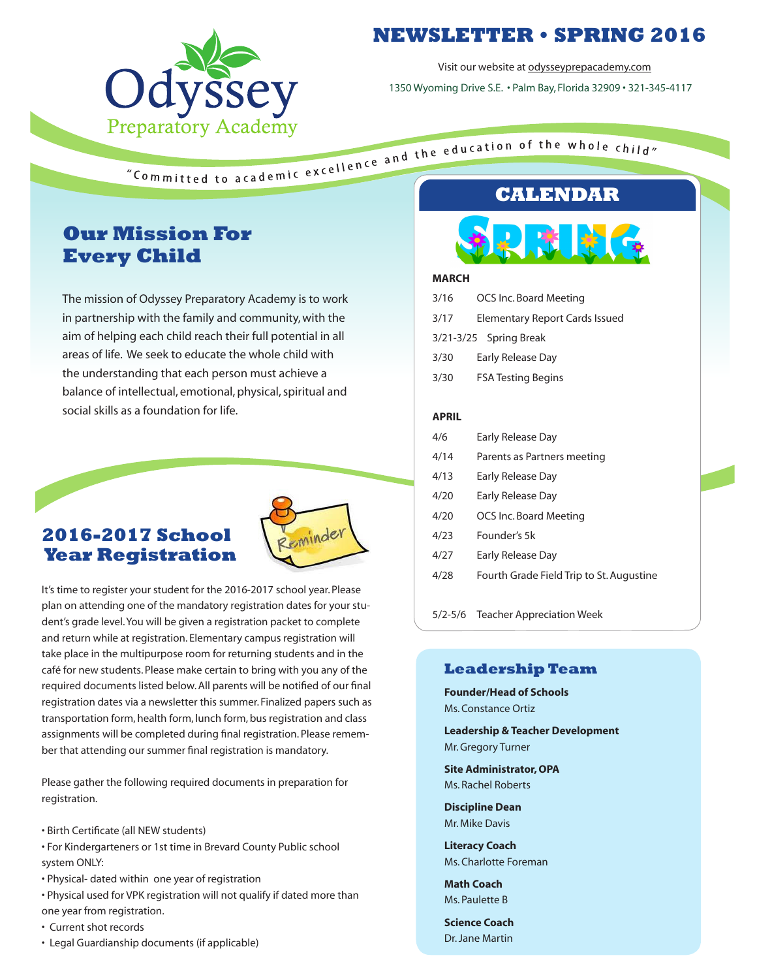

# **NEWSLETTER • SPRING 2016**

Visit our website at odysseyprepacademy.com

1350 Wyoming Drive S.E. • Palm Bay, Florida 32909 • 321-345-4117

# **Our Mission For Every Child**

The mission of Odyssey Preparatory Academy is to work in partnership with the family and community, with the aim of helping each child reach their full potential in all areas of life. We seek to educate the whole child with the understanding that each person must achieve a balance of intellectual, emotional, physical, spiritual and social skills as a foundation for life.

#### **2016-2017 School Year Registration**



It's time to register your student for the 2016-2017 school year. Please plan on attending one of the mandatory registration dates for your student's grade level. You will be given a registration packet to complete and return while at registration. Elementary campus registration will take place in the multipurpose room for returning students and in the café for new students. Please make certain to bring with you any of the required documents listed below. All parents will be notified of our final registration dates via a newsletter this summer. Finalized papers such as transportation form, health form, lunch form, bus registration and class assignments will be completed during final registration. Please remember that attending our summer final registration is mandatory.

Please gather the following required documents in preparation for registration.

- Birth Certificate (all NEW students)
- For Kindergarteners or 1st time in Brevard County Public school system ONLY:
- Physical- dated within one year of registration
- Physical used for VPK registration will not qualify if dated more than one year from registration.
- Current shot records
- Legal Guardianship documents (if applicable)



#### **MARCH**

| 3/16         | OCS Inc. Board Meeting         |
|--------------|--------------------------------|
| 3/17         | Elementary Report Cards Issued |
|              | 3/21-3/25 Spring Break         |
| 3/30         | Early Release Day              |
| 3/30         | <b>FSA Testing Begins</b>      |
|              |                                |
| <b>APRIL</b> |                                |
| 4/6          | Early Release Day              |
| 4/14         | Parents as Partners meeting    |
| 4/13         | Early Release Day              |
| 4/20         | Early Release Day              |
| 4/20         | OCS Inc. Board Meeting         |
| 4/23         | Founder's 5k                   |

- 4/27 Early Release Day
- 4/28 Fourth Grade Field Trip to St. Augustine

5/2-5/6 Teacher Appreciation Week

#### **Leadership Team**

**Founder/Head of Schools** Ms. Constance Ortiz

**Leadership & Teacher Development** Mr. Gregory Turner

**Site Administrator, OPA** Ms. Rachel Roberts

**Discipline Dean** Mr. Mike Davis

**Literacy Coach** Ms. Charlotte Foreman

**Math Coach** Ms. Paulette B

**Science Coach** Dr. Jane Martin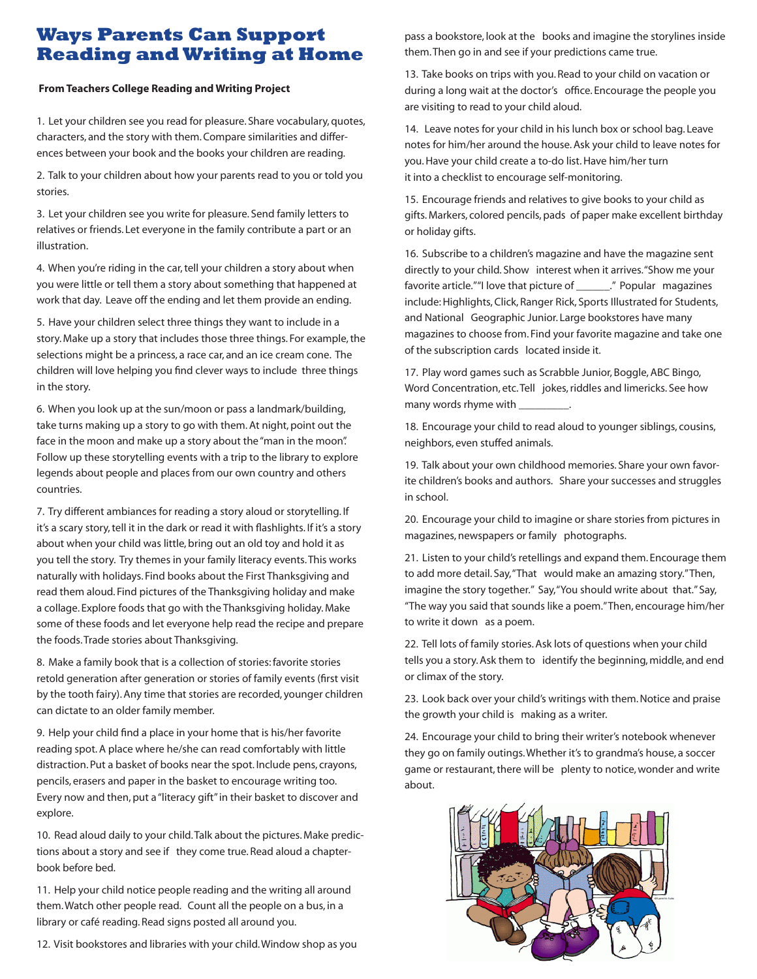## **Ways Parents Can Support Reading and Writing at Home**

#### **From Teachers College Reading and Writing Project**

1. Let your children see you read for pleasure. Share vocabulary, quotes, characters, and the story with them. Compare similarities and differences between your book and the books your children are reading.

2. Talk to your children about how your parents read to you or told you stories.

3. Let your children see you write for pleasure. Send family letters to relatives or friends. Let everyone in the family contribute a part or an illustration.

4. When you're riding in the car, tell your children a story about when you were little or tell them a story about something that happened at work that day. Leave off the ending and let them provide an ending.

5. Have your children select three things they want to include in a story. Make up a story that includes those three things. For example, the selections might be a princess, a race car, and an ice cream cone. The children will love helping you find clever ways to include three things in the story.

6. When you look up at the sun/moon or pass a landmark/building, take turns making up a story to go with them. At night, point out the face in the moon and make up a story about the "man in the moon". Follow up these storytelling events with a trip to the library to explore legends about people and places from our own country and others countries.

7. Try different ambiances for reading a story aloud or storytelling. If it's a scary story, tell it in the dark or read it with flashlights. If it's a story about when your child was little, bring out an old toy and hold it as you tell the story. Try themes in your family literacy events. This works naturally with holidays. Find books about the First Thanksgiving and read them aloud. Find pictures of the Thanksgiving holiday and make a collage. Explore foods that go with the Thanksgiving holiday. Make some of these foods and let everyone help read the recipe and prepare the foods. Trade stories about Thanksgiving.

8. Make a family book that is a collection of stories: favorite stories retold generation after generation or stories of family events (first visit by the tooth fairy). Any time that stories are recorded, younger children can dictate to an older family member.

9. Help your child find a place in your home that is his/her favorite reading spot. A place where he/she can read comfortably with little distraction. Put a basket of books near the spot. Include pens, crayons, pencils, erasers and paper in the basket to encourage writing too. Every now and then, put a "literacy gift" in their basket to discover and explore.

10. Read aloud daily to your child. Talk about the pictures. Make predictions about a story and see if they come true. Read aloud a chapterbook before bed.

11. Help your child notice people reading and the writing all around them. Watch other people read. Count all the people on a bus, in a library or café reading. Read signs posted all around you.

12. Visit bookstores and libraries with your child. Window shop as you

pass a bookstore, look at the books and imagine the storylines inside them. Then go in and see if your predictions came true.

13. Take books on trips with you. Read to your child on vacation or during a long wait at the doctor's office. Encourage the people you are visiting to read to your child aloud.

14. Leave notes for your child in his lunch box or school bag. Leave notes for him/her around the house. Ask your child to leave notes for you. Have your child create a to-do list. Have him/her turn it into a checklist to encourage self-monitoring.

15. Encourage friends and relatives to give books to your child as gifts. Markers, colored pencils, pads of paper make excellent birthday or holiday gifts.

16. Subscribe to a children's magazine and have the magazine sent directly to your child. Show interest when it arrives. "Show me your favorite article.""I love that picture of \_\_\_\_\_\_\_." Popular magazines include: Highlights, Click, Ranger Rick, Sports Illustrated for Students, and National Geographic Junior. Large bookstores have many magazines to choose from. Find your favorite magazine and take one of the subscription cards located inside it.

17. Play word games such as Scrabble Junior, Boggle, ABC Bingo, Word Concentration, etc. Tell jokes, riddles and limericks. See how many words rhyme with

18. Encourage your child to read aloud to younger siblings, cousins, neighbors, even stuffed animals.

19. Talk about your own childhood memories. Share your own favorite children's books and authors. Share your successes and struggles in school.

20. Encourage your child to imagine or share stories from pictures in magazines, newspapers or family photographs.

21. Listen to your child's retellings and expand them. Encourage them to add more detail. Say, "That would make an amazing story." Then, imagine the story together." Say, "You should write about that." Say, "The way you said that sounds like a poem." Then, encourage him/her to write it down as a poem.

22. Tell lots of family stories. Ask lots of questions when your child tells you a story. Ask them to identify the beginning, middle, and end or climax of the story.

23. Look back over your child's writings with them. Notice and praise the growth your child is making as a writer.

24. Encourage your child to bring their writer's notebook whenever they go on family outings. Whether it's to grandma's house, a soccer game or restaurant, there will be plenty to notice, wonder and write about.

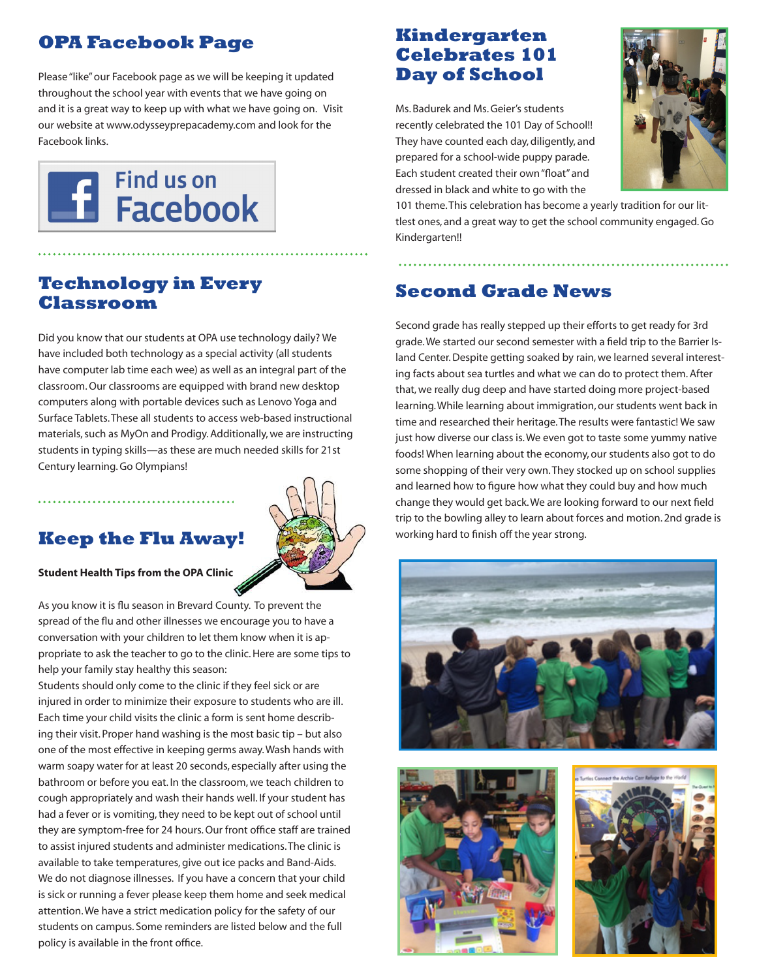# **OPA Facebook Page**

Please "like" our Facebook page as we will be keeping it updated throughout the school year with events that we have going on and it is a great way to keep up with what we have going on. Visit our website at www.odysseyprepacademy.com and look for the Facebook links.



## **Technology in Every Classroom**

Did you know that our students at OPA use technology daily? We have included both technology as a special activity (all students have computer lab time each wee) as well as an integral part of the classroom. Our classrooms are equipped with brand new desktop computers along with portable devices such as Lenovo Yoga and Surface Tablets. These all students to access web-based instructional materials, such as MyOn and Prodigy. Additionally, we are instructing students in typing skills—as these are much needed skills for 21st Century learning. Go Olympians!

## **Keep the Flu Away!**



#### **Student Health Tips from the OPA Clinic**

As you know it is flu season in Brevard County. To prevent the spread of the flu and other illnesses we encourage you to have a conversation with your children to let them know when it is appropriate to ask the teacher to go to the clinic. Here are some tips to help your family stay healthy this season:

Students should only come to the clinic if they feel sick or are injured in order to minimize their exposure to students who are ill. Each time your child visits the clinic a form is sent home describing their visit. Proper hand washing is the most basic tip – but also one of the most effective in keeping germs away. Wash hands with warm soapy water for at least 20 seconds, especially after using the bathroom or before you eat. In the classroom, we teach children to cough appropriately and wash their hands well. If your student has had a fever or is vomiting, they need to be kept out of school until they are symptom-free for 24 hours. Our front office staff are trained to assist injured students and administer medications. The clinic is available to take temperatures, give out ice packs and Band-Aids. We do not diagnose illnesses. If you have a concern that your child is sick or running a fever please keep them home and seek medical attention. We have a strict medication policy for the safety of our students on campus. Some reminders are listed below and the full policy is available in the front office.

# **Kindergarten Celebrates 101 Day of School**

Ms. Badurek and Ms. Geier's students recently celebrated the 101 Day of School!! They have counted each day, diligently, and prepared for a school-wide puppy parade. Each student created their own "float" and dressed in black and white to go with the



101 theme. This celebration has become a yearly tradition for our littlest ones, and a great way to get the school community engaged. Go Kindergarten!!

## **Second Grade News**

Second grade has really stepped up their efforts to get ready for 3rd grade. We started our second semester with a field trip to the Barrier Island Center. Despite getting soaked by rain, we learned several interesting facts about sea turtles and what we can do to protect them. After that, we really dug deep and have started doing more project-based learning. While learning about immigration, our students went back in time and researched their heritage. The results were fantastic! We saw just how diverse our class is. We even got to taste some yummy native foods! When learning about the economy, our students also got to do some shopping of their very own. They stocked up on school supplies and learned how to figure how what they could buy and how much change they would get back. We are looking forward to our next field trip to the bowling alley to learn about forces and motion. 2nd grade is working hard to finish off the year strong.